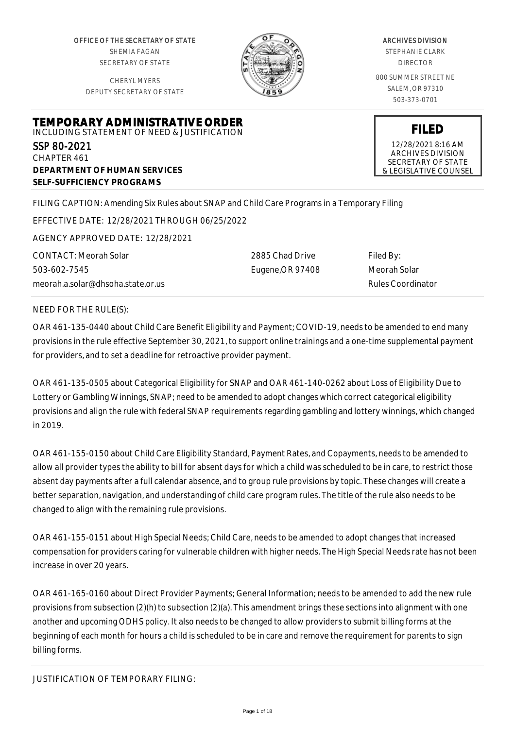OFFICE OF THE SECRETARY OF STATE SHEMIA FAGAN SECRETARY OF STATE

CHERYL MYERS DEPUTY SECRETARY OF STATE



#### ARCHIVES DIVISION

STEPHANIE CLARK DIRECTOR

800 SUMMER STREET NE SALEM, OR 97310 503-373-0701

**FILED** 12/28/2021 8:16 AM ARCHIVES DIVISION SECRETARY OF STATE & LEGISLATIVE COUNSEL

# **TEMPORARY ADMINISTRATIVE ORDER** INCLUDING STATEMENT OF NEED & JUSTIFICATION SSP 80-2021 CHAPTER 461 **DEPARTMENT OF HUMAN SERVICES SELF-SUFFICIENCY PROGRAMS**

FILING CAPTION: Amending Six Rules about SNAP and Child Care Programs in a Temporary Filing

EFFECTIVE DATE: 12/28/2021 THROUGH 06/25/2022

AGENCY APPROVED DATE: 12/28/2021

CONTACT: Meorah Solar 503-602-7545 meorah.a.solar@dhsoha.state.or.us 2885 Chad Drive Eugene,OR 97408 Filed By: Meorah Solar Rules Coordinator

## NEED FOR THE RULE(S):

OAR 461-135-0440 about Child Care Benefit Eligibility and Payment; COVID-19, needs to be amended to end many provisions in the rule effective September 30, 2021, to support online trainings and a one-time supplemental payment for providers, and to set a deadline for retroactive provider payment.

OAR 461-135-0505 about Categorical Eligibility for SNAP and OAR 461-140-0262 about Loss of Eligibility Due to Lottery or Gambling Winnings, SNAP; need to be amended to adopt changes which correct categorical eligibility provisions and align the rule with federal SNAP requirements regarding gambling and lottery winnings, which changed in 2019.

OAR 461-155-0150 about Child Care Eligibility Standard, Payment Rates, and Copayments, needs to be amended to allow all provider types the ability to bill for absent days for which a child was scheduled to be in care, to restrict those absent day payments after a full calendar absence, and to group rule provisions by topic. These changes will create a better separation, navigation, and understanding of child care program rules. The title of the rule also needs to be changed to align with the remaining rule provisions.

OAR 461-155-0151 about High Special Needs; Child Care, needs to be amended to adopt changes that increased compensation for providers caring for vulnerable children with higher needs. The High Special Needs rate has not been increase in over 20 years.

OAR 461-165-0160 about Direct Provider Payments; General Information; needs to be amended to add the new rule provisions from subsection (2)(h) to subsection (2)(a). This amendment brings these sections into alignment with one another and upcoming ODHS policy. It also needs to be changed to allow providers to submit billing forms at the beginning of each month for hours a child is scheduled to be in care and remove the requirement for parents to sign billing forms.

JUSTIFICATION OF TEMPORARY FILING: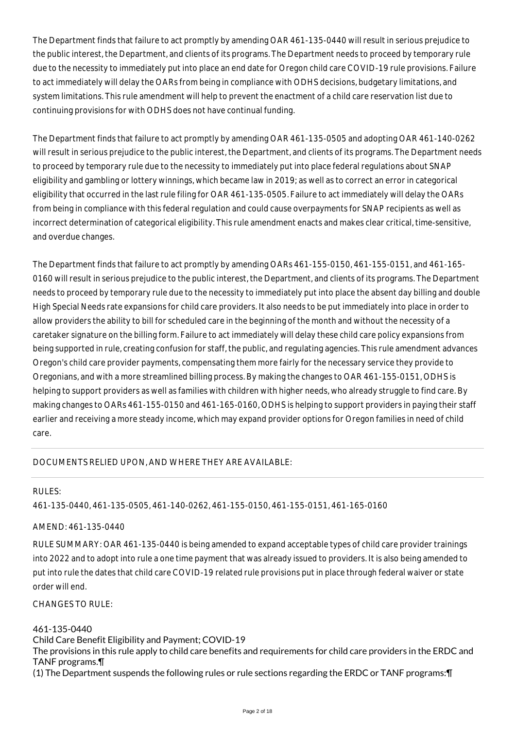The Department finds that failure to act promptly by amending OAR 461-135-0440 will result in serious prejudice to the public interest, the Department, and clients of its programs. The Department needs to proceed by temporary rule due to the necessity to immediately put into place an end date for Oregon child care COVID-19 rule provisions. Failure to act immediately will delay the OARs from being in compliance with ODHS decisions, budgetary limitations, and system limitations. This rule amendment will help to prevent the enactment of a child care reservation list due to continuing provisions for with ODHS does not have continual funding.

The Department finds that failure to act promptly by amending OAR 461-135-0505 and adopting OAR 461-140-0262 will result in serious prejudice to the public interest, the Department, and clients of its programs. The Department needs to proceed by temporary rule due to the necessity to immediately put into place federal regulations about SNAP eligibility and gambling or lottery winnings, which became law in 2019; as well as to correct an error in categorical eligibility that occurred in the last rule filing for OAR 461-135-0505. Failure to act immediately will delay the OARs from being in compliance with this federal regulation and could cause overpayments for SNAP recipients as well as incorrect determination of categorical eligibility. This rule amendment enacts and makes clear critical, time-sensitive, and overdue changes.

The Department finds that failure to act promptly by amending OARs 461-155-0150, 461-155-0151, and 461-165- 0160 will result in serious prejudice to the public interest, the Department, and clients of its programs. The Department needs to proceed by temporary rule due to the necessity to immediately put into place the absent day billing and double High Special Needs rate expansions for child care providers. It also needs to be put immediately into place in order to allow providers the ability to bill for scheduled care in the beginning of the month and without the necessity of a caretaker signature on the billing form. Failure to act immediately will delay these child care policy expansions from being supported in rule, creating confusion for staff, the public, and regulating agencies. This rule amendment advances Oregon's child care provider payments, compensating them more fairly for the necessary service they provide to Oregonians, and with a more streamlined billing process. By making the changes to OAR 461-155-0151, ODHS is helping to support providers as well as families with children with higher needs, who already struggle to find care. By making changes to OARs 461-155-0150 and 461-165-0160, ODHS is helping to support providers in paying their staff earlier and receiving a more steady income, which may expand provider options for Oregon families in need of child care.

## DOCUMENTS RELIED UPON, AND WHERE THEY ARE AVAILABLE:

#### RULES:

461-135-0440, 461-135-0505, 461-140-0262, 461-155-0150, 461-155-0151, 461-165-0160

# AMEND: 461-135-0440

RULE SUMMARY: OAR 461-135-0440 is being amended to expand acceptable types of child care provider trainings into 2022 and to adopt into rule a one time payment that was already issued to providers. It is also being amended to put into rule the dates that child care COVID-19 related rule provisions put in place through federal waiver or state order will end.

CHANGES TO RULE:

461-135-0440 Child Care Benefit Eligibility and Payment; COVID-19 The provisions in this rule apply to child care benefits and requirements for child care providers in the ERDC and TANF programs.¶ (1) The Department suspends the following rules or rule sections regarding the ERDC or TANF programs:¶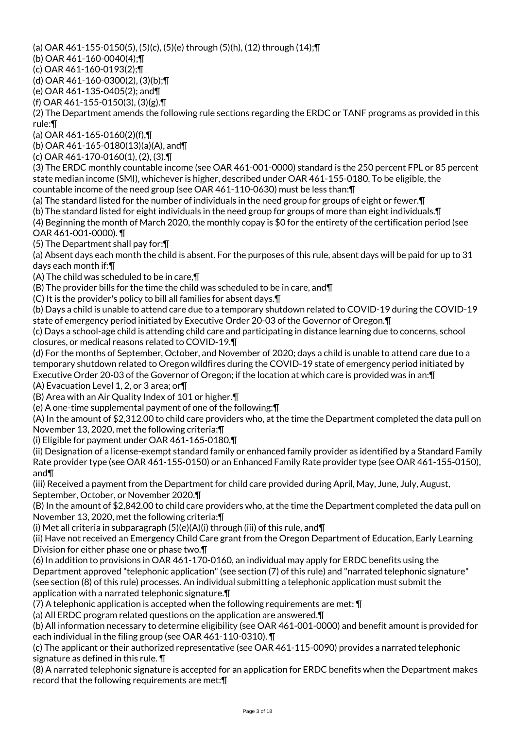(a) OAR 461-155-0150(5), (5)(c), (5)(e) through (5)(h), (12) through (14);¶

(b) OAR 461-160-0040(4);¶

(c) OAR 461-160-0193(2);¶

(d) OAR 461-160-0300(2), (3)(b);¶

(e) OAR 461-135-0405(2); and¶

(f) OAR 461-155-0150(3), (3)(g).¶

(2) The Department amends the following rule sections regarding the ERDC or TANF programs as provided in this rule:¶

(a) OAR 461-165-0160(2)(f),¶

(b) OAR 461-165-0180(13)(a)(A), and¶

(c) OAR 461-170-0160(1), (2), (3).¶

(3) The ERDC monthly countable income (see OAR 461-001-0000) standard is the 250 percent FPL or 85 percent state median income (SMI), whichever is higher, described under OAR 461-155-0180. To be eligible, the countable income of the need group (see OAR 461-110-0630) must be less than:¶

(a) The standard listed for the number of individuals in the need group for groups of eight or fewer.¶

(b) The standard listed for eight individuals in the need group for groups of more than eight individuals.¶

(4) Beginning the month of March 2020, the monthly copay is \$0 for the entirety of the certification period (see OAR 461-001-0000). ¶

(5) The Department shall pay for:¶

(a) Absent days each month the child is absent. For the purposes of this rule, absent days will be paid for up to 31 days each month if:¶

(A) The child was scheduled to be in care,¶

(B) The provider bills for the time the child was scheduled to be in care, and¶

(C) It is the provider's policy to bill all families for absent days.¶

(b) Days a child is unable to attend care due to a temporary shutdown related to COVID-19 during the COVID-19 state of emergency period initiated by Executive Order 20-03 of the Governor of Oregon.¶

(c) Days a school-age child is attending child care and participating in distance learning due to concerns, school closures, or medical reasons related to COVID-19.¶

(d) For the months of September, October, and November of 2020; days a child is unable to attend care due to a temporary shutdown related to Oregon wildfires during the COVID-19 state of emergency period initiated by Executive Order 20-03 of the Governor of Oregon; if the location at which care is provided was in an:¶

(A) Evacuation Level 1, 2, or 3 area; or¶

(B) Area with an Air Quality Index of 101 or higher.¶

(e) A one-time supplemental payment of one of the following:¶

(A) In the amount of \$2,312.00 to child care providers who, at the time the Department completed the data pull on November 13, 2020, met the following criteria:¶

(i) Eligible for payment under OAR 461-165-0180,¶

(ii) Designation of a license-exempt standard family or enhanced family provider as identified by a Standard Family Rate provider type (see OAR 461-155-0150) or an Enhanced Family Rate provider type (see OAR 461-155-0150), and¶

(iii) Received a payment from the Department for child care provided during April, May, June, July, August, September, October, or November 2020.¶

(B) In the amount of \$2,842.00 to child care providers who, at the time the Department completed the data pull on November 13, 2020, met the following criteria:¶

(i) Met all criteria in subparagraph  $(5)(e)(A)(i)$  through (iii) of this rule, and  $\P$ 

(ii) Have not received an Emergency Child Care grant from the Oregon Department of Education, Early Learning Division for either phase one or phase two.¶

(6) In addition to provisions in OAR 461-170-0160, an individual may apply for ERDC benefits using the Department approved "telephonic application" (see section (7) of this rule) and "narrated telephonic signature" (see section (8) of this rule) processes. An individual submitting a telephonic application must submit the application with a narrated telephonic signature.¶

(7) A telephonic application is accepted when the following requirements are met: ¶

(a) All ERDC program related questions on the application are answered.¶

(b) All information necessary to determine eligibility (see OAR 461-001-0000) and benefit amount is provided for each individual in the filing group (see OAR 461-110-0310). ¶

(c) The applicant or their authorized representative (see OAR 461-115-0090) provides a narrated telephonic signature as defined in this rule. ¶

(8) A narrated telephonic signature is accepted for an application for ERDC benefits when the Department makes record that the following requirements are met:¶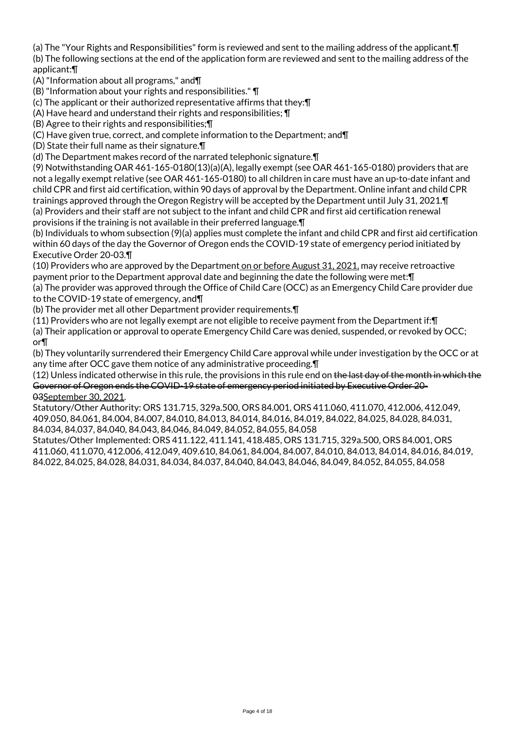(a) The "Your Rights and Responsibilities" form is reviewed and sent to the mailing address of the applicant.¶ (b) The following sections at the end of the application form are reviewed and sent to the mailing address of the applicant:¶

(A) "Information about all programs," and¶

(B) "Information about your rights and responsibilities." ¶

(c) The applicant or their authorized representative affirms that they:¶

(A) Have heard and understand their rights and responsibilities; ¶

(B) Agree to their rights and responsibilities;¶

(C) Have given true, correct, and complete information to the Department; and¶

(D) State their full name as their signature.¶

(d) The Department makes record of the narrated telephonic signature.¶

(9) Notwithstanding OAR 461-165-0180(13)(a)(A), legally exempt (see OAR 461-165-0180) providers that are not a legally exempt relative (see OAR 461-165-0180) to all children in care must have an up-to-date infant and child CPR and first aid certification, within 90 days of approval by the Department. Online infant and child CPR trainings approved through the Oregon Registry will be accepted by the Department until July 31, 2021.¶ (a) Providers and their staff are not subject to the infant and child CPR and first aid certification renewal provisions if the training is not available in their preferred language.¶

(b) Individuals to whom subsection (9)(a) applies must complete the infant and child CPR and first aid certification within 60 days of the day the Governor of Oregon ends the COVID-19 state of emergency period initiated by Executive Order 20-03.¶

(10) Providers who are approved by the Department on or before August 31, 2021, may receive retroactive payment prior to the Department approval date and beginning the date the following were met:¶ (a) The provider was approved through the Office of Child Care (OCC) as an Emergency Child Care provider due

to the COVID-19 state of emergency, and¶

(b) The provider met all other Department provider requirements.¶

(11) Providers who are not legally exempt are not eligible to receive payment from the Department if:¶

(a) Their application or approval to operate Emergency Child Care was denied, suspended, or revoked by OCC; or¶

(b) They voluntarily surrendered their Emergency Child Care approval while under investigation by the OCC or at any time after OCC gave them notice of any administrative proceeding.¶

(12) Unless indicated otherwise in this rule, the provisions in this rule end on the last day of the month in which the Governor of Oregon ends the COVID-19 state of emergency period initiated by Executive Order 20- 03September 30, 2021.

Statutory/Other Authority: ORS 131.715, 329a.500, ORS 84.001, ORS 411.060, 411.070, 412.006, 412.049, 409.050, 84.061, 84.004, 84.007, 84.010, 84.013, 84.014, 84.016, 84.019, 84.022, 84.025, 84.028, 84.031, 84.034, 84.037, 84.040, 84.043, 84.046, 84.049, 84.052, 84.055, 84.058

Statutes/Other Implemented: ORS 411.122, 411.141, 418.485, ORS 131.715, 329a.500, ORS 84.001, ORS 411.060, 411.070, 412.006, 412.049, 409.610, 84.061, 84.004, 84.007, 84.010, 84.013, 84.014, 84.016, 84.019, 84.022, 84.025, 84.028, 84.031, 84.034, 84.037, 84.040, 84.043, 84.046, 84.049, 84.052, 84.055, 84.058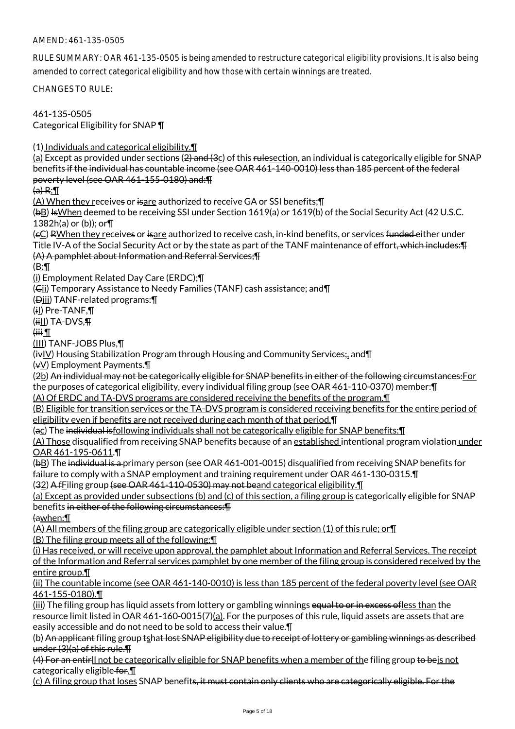## AMEND: 461-135-0505

RULE SUMMARY: OAR 461-135-0505 is being amended to restructure categorical eligibility provisions. It is also being amended to correct categorical eligibility and how those with certain winnings are treated.

CHANGES TO RULE:

461-135-0505 Categorical Eligibility for SNAP ¶

(1) Individuals and categorical eligibility.¶

(a) Except as provided under sections (2) and (3c) of this rulesection, an individual is categorically eligible for SNAP benefits if the individual has countable income (see OAR 461-140-0010) less than 185 percent of the federal poverty level (see OAR 461-155-0180) and:¶

 $(a) R: \mathbb{T}$ 

(A) When they receives or isare authorized to receive GA or SSI benefits;¶

(bB) IsWhen deemed to be receiving SSI under Section 1619(a) or 1619(b) of the Social Security Act (42 U.S.C. 1382h(a) or (b)); or¶

(eC) RWhen they receives or isare authorized to receive cash, in-kind benefits, or services funded either under Title IV-A of the Social Security Act or by the state as part of the TANF maintenance of effort<del>, which includes:¶</del> (A) A pamphlet about Information and Referral Services;¶

 $\oplus$ :

(i) Employment Related Day Care (ERDC);¶

(Cii) Temporary Assistance to Needy Families (TANF) cash assistance; and¶

(Diii) TANF-related programs:¶

(iI) Pre-TANF,¶

 $(iii)$  TA-DVS, $\P$ 

 $\mathbb{I}$  iiii)

(III) TANF-JOBS Plus,¶

 $(i\mathbf{v}|\mathbf{V})$  Housing Stabilization Program through Housing and Community Services;, and  $\P$ 

(vV) Employment Payments.¶

(2b) An individual may not be categorically eligible for SNAP benefits in either of the following circumstances:For the purposes of categorical eligibility, every individual filing group (see OAR 461-110-0370) member:¶

(A) Of ERDC and TA-DVS programs are considered receiving the benefits of the program.¶

(B) Eligible for transition services or the TA-DVS program is considered receiving benefits for the entire period of eligibility even if benefits are not received during each month of that period.¶

(ac) The individual isfollowing individuals shall not be categorically eligible for SNAP benefits:¶

(A) Those disqualified from receiving SNAP benefits because of an established intentional program violation under OAR 461-195-0611.¶

(bB) The individual is a primary person (see OAR 461-001-0015) disqualified from receiving SNAP benefits for failure to comply with a SNAP employment and training requirement under OAR 461-130-0315.¶

(32) A fFiling group (see OAR 461-110-0530) may not beand categorical eligibility.¶

(a) Except as provided under subsections (b) and (c) of this section, a filing group is categorically eligible for SNAP benefits in either of the following circumstances:¶

(awhen:¶

(A) All members of the filing group are categorically eligible under section (1) of this rule; or¶

(B) The filing group meets all of the following:¶

(i) Has received, or will receive upon approval, the pamphlet about Information and Referral Services. The receipt of the Information and Referral services pamphlet by one member of the filing group is considered received by the entire group.¶

(ii) The countable income (see OAR 461-140-0010) is less than 185 percent of the federal poverty level (see OAR 461-155-0180).¶

(iii) The filing group has liquid assets from lottery or gambling winnings equal to or in excess ofless than the resource limit listed in OAR 461-160-0015(7)(a). For the purposes of this rule, liquid assets are assets that are easily accessible and do not need to be sold to access their value.¶

(b) An applicant filing group tshat lost SNAP eligibility due to receipt of lottery or gambling winnings as described under (3)(a) of this rule.¶

(4) For an entirll not be categorically eligible for SNAP benefits when a member of the filing group to beis not categorically eligible for.¶

(c) A filing group that loses SNAP benefits, it must contain only clients who are categorically eligible. For the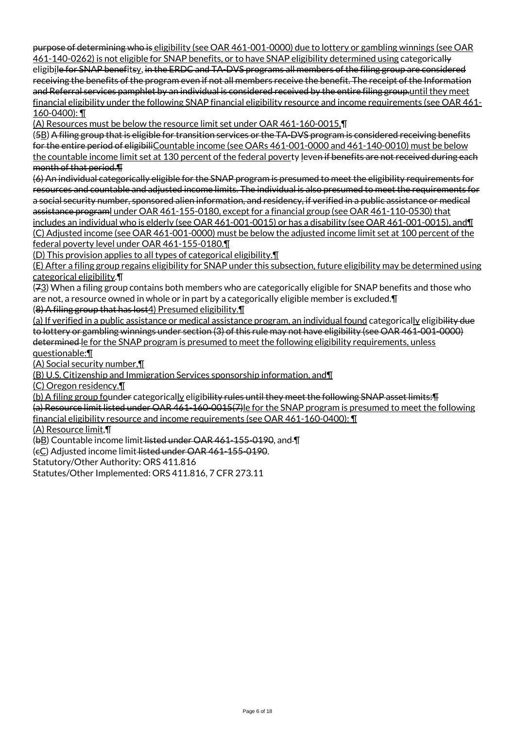purpose of determining who is eligibility (see OAR 461-001-0000) due to lottery or gambling winnings (see OAR 461-140-0262) is not eligible for SNAP benefits, or to have SNAP eligibility determined using categorically eligibile for SNAP benefitsy, in the ERDC and TA-DVS programs all members of the filing group are considered receiving the benefits of the program even if not all members receive the benefit. The receipt of the Information and Referral services pamphlet by an individual is considered received by the entire filing group.until they meet financial eligibility under the following SNAP financial eligibility resource and income requirements (see OAR 461- 160-0400): ¶

(A) Resources must be below the resource limit set under OAR 461-160-0015,¶

(5B) A filing group that is eligible for transition services or the TA-DVS program is considered receiving benefits for the entire period of eligibiliCountable income (see OARs 461-001-0000 and 461-140-0010) must be below the countable income limit set at 130 percent of the federal poverty leven if benefits are not received during each month of that period.¶

(6) An individual categorically eligible for the SNAP program is presumed to meet the eligibility requirements for resources and countable and adjusted income limits. The individual is also presumed to meet the requirements for a social security number, sponsored alien information, and residency, if verified in a public assistance or medical assistance programl under OAR 461-155-0180, except for a financial group (see OAR 461-110-0530) that includes an individual who is elderly (see OAR 461-001-0015) or has a disability (see OAR 461-001-0015), and¶ (C) Adjusted income (see OAR 461-001-0000) must be below the adjusted income limit set at 100 percent of the federal poverty level under OAR 461-155-0180.¶

(D) This provision applies to all types of categorical eligibility.¶

(E) After a filing group regains eligibility for SNAP under this subsection, future eligibility may be determined using categorical eligibility.¶

(73) When a filing group contains both members who are categorically eligible for SNAP benefits and those who are not, a resource owned in whole or in part by a categorically eligible member is excluded.¶

(8) A filing group that has lost4) Presumed eligibility.¶

(a) If verified in a public assistance or medical assistance program, an individual found categorically eligibility due to lottery or gambling winnings under section (3) of this rule may not have eligibility (see OAR 461-001-0000) determined le for the SNAP program is presumed to meet the following eligibility requirements, unless questionable:¶

(A) Social security number,¶

(B) U.S. Citizenship and Immigration Services sponsorship information, and¶

(C) Oregon residency.¶

(b) A filing group founder categorically eligibility rules until they meet the following SNAP asset limits: ¶

(a) Resource limit listed under OAR 461-160-0015(7)le for the SNAP program is presumed to meet the following financial eligibility resource and income requirements (see OAR 461-160-0400): ¶

(A) Resource limit,¶

(bB) Countable income limit listed under OAR 461-155-0190, and ¶

(cC) Adjusted income limit listed under OAR 461-155-0190.

Statutory/Other Authority: ORS 411.816

Statutes/Other Implemented: ORS 411.816, 7 CFR 273.11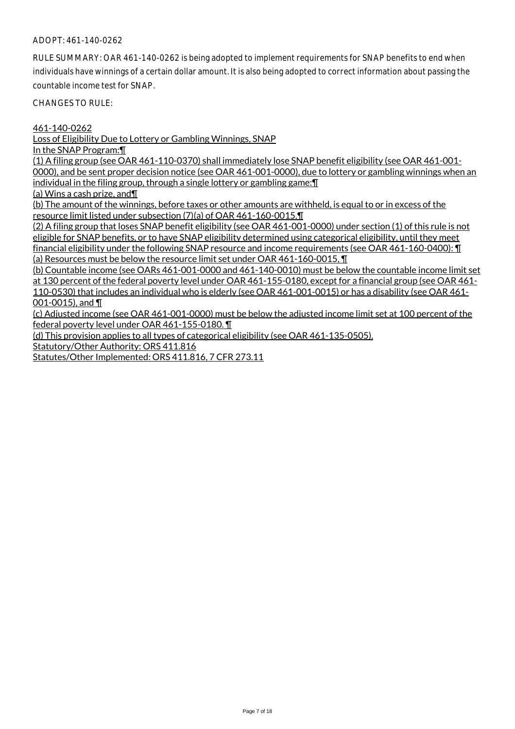## ADOPT: 461-140-0262

RULE SUMMARY: OAR 461-140-0262 is being adopted to implement requirements for SNAP benefits to end when individuals have winnings of a certain dollar amount. It is also being adopted to correct information about passing the countable income test for SNAP.

CHANGES TO RULE:

461-140-0262

Loss of Eligibility Due to Lottery or Gambling Winnings, SNAP

In the SNAP Program:¶

(1) A filing group (see OAR 461-110-0370) shall immediately lose SNAP benefit eligibility (see OAR 461-001- 0000), and be sent proper decision notice (see OAR 461-001-0000), due to lottery or gambling winnings when an individual in the filing group, through a single lottery or gambling game:¶

(a) Wins a cash prize, and¶

(b) The amount of the winnings, before taxes or other amounts are withheld, is equal to or in excess of the resource limit listed under subsection (7)(a) of OAR 461-160-0015.¶

(2) A filing group that loses SNAP benefit eligibility (see OAR 461-001-0000) under section (1) of this rule is not eligible for SNAP benefits, or to have SNAP eligibility determined using categorical eligibility, until they meet financial eligibility under the following SNAP resource and income requirements (see OAR 461-160-0400): ¶ (a) Resources must be below the resource limit set under OAR 461-160-0015, ¶

(b) Countable income (see OARs 461-001-0000 and 461-140-0010) must be below the countable income limit set at 130 percent of the federal poverty level under OAR 461-155-0180, except for a financial group (see OAR 461- 110-0530) that includes an individual who is elderly (see OAR 461-001-0015) or has a disability (see OAR 461- 001-0015), and ¶

(c) Adjusted income (see OAR 461-001-0000) must be below the adjusted income limit set at 100 percent of the federal poverty level under OAR 461-155-0180. ¶

(d) This provision applies to all types of categorical eligibility (see OAR 461-135-0505).

Statutory/Other Authority: ORS 411.816

Statutes/Other Implemented: ORS 411.816, 7 CFR 273.11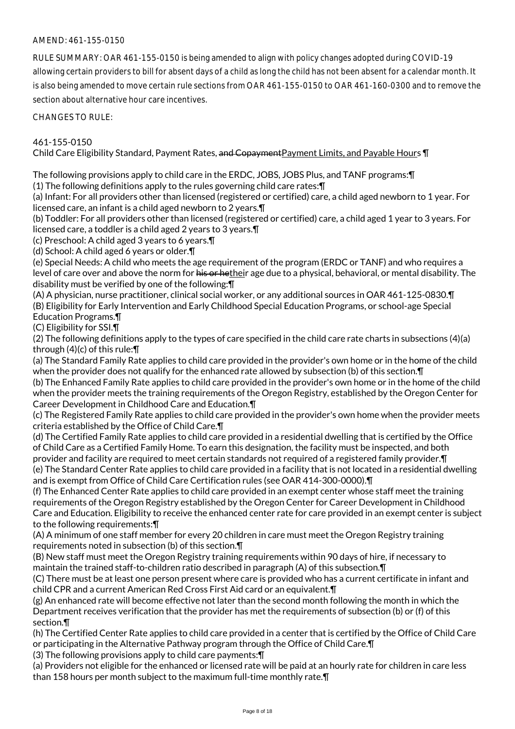## AMEND: 461-155-0150

RULE SUMMARY: OAR 461-155-0150 is being amended to align with policy changes adopted during COVID-19 allowing certain providers to bill for absent days of a child as long the child has not been absent for a calendar month. It is also being amended to move certain rule sections from OAR 461-155-0150 to OAR 461-160-0300 and to remove the section about alternative hour care incentives.

CHANGES TO RULE:

### 461-155-0150

Child Care Eligibility Standard, Payment Rates, and CopaymentPayment Limits, and Payable Hours ¶

The following provisions apply to child care in the ERDC, JOBS, JOBS Plus, and TANF programs:¶

(1) The following definitions apply to the rules governing child care rates:¶

(a) Infant: For all providers other than licensed (registered or certified) care, a child aged newborn to 1 year. For licensed care, an infant is a child aged newborn to 2 years.¶

(b) Toddler: For all providers other than licensed (registered or certified) care, a child aged 1 year to 3 years. For licensed care, a toddler is a child aged 2 years to 3 years.¶

(c) Preschool: A child aged 3 years to 6 years.¶

(d) School: A child aged 6 years or older.¶

(e) Special Needs: A child who meets the age requirement of the program (ERDC or TANF) and who requires a level of care over and above the norm for his or hetheir age due to a physical, behavioral, or mental disability. The disability must be verified by one of the following:¶

(A) A physician, nurse practitioner, clinical social worker, or any additional sources in OAR 461-125-0830.¶ (B) Eligibility for Early Intervention and Early Childhood Special Education Programs, or school-age Special Education Programs.¶

(C) Eligibility for SSI.¶

(2) The following definitions apply to the types of care specified in the child care rate charts in subsections (4)(a) through (4)(c) of this rule:¶

(a) The Standard Family Rate applies to child care provided in the provider's own home or in the home of the child when the provider does not qualify for the enhanced rate allowed by subsection (b) of this section.¶

(b) The Enhanced Family Rate applies to child care provided in the provider's own home or in the home of the child when the provider meets the training requirements of the Oregon Registry, established by the Oregon Center for Career Development in Childhood Care and Education.¶

(c) The Registered Family Rate applies to child care provided in the provider's own home when the provider meets criteria established by the Office of Child Care.¶

(d) The Certified Family Rate applies to child care provided in a residential dwelling that is certified by the Office of Child Care as a Certified Family Home. To earn this designation, the facility must be inspected, and both provider and facility are required to meet certain standards not required of a registered family provider. In (e) The Standard Center Rate applies to child care provided in a facility that is not located in a residential dwelling and is exempt from Office of Child Care Certification rules (see OAR 414-300-0000).¶

(f) The Enhanced Center Rate applies to child care provided in an exempt center whose staff meet the training requirements of the Oregon Registry established by the Oregon Center for Career Development in Childhood Care and Education. Eligibility to receive the enhanced center rate for care provided in an exempt center is subject to the following requirements:¶

(A) A minimum of one staff member for every 20 children in care must meet the Oregon Registry training requirements noted in subsection (b) of this section.¶

(B) New staff must meet the Oregon Registry training requirements within 90 days of hire, if necessary to maintain the trained staff-to-children ratio described in paragraph (A) of this subsection.¶

(C) There must be at least one person present where care is provided who has a current certificate in infant and child CPR and a current American Red Cross First Aid card or an equivalent.¶

(g) An enhanced rate will become effective not later than the second month following the month in which the Department receives verification that the provider has met the requirements of subsection (b) or (f) of this section.¶

(h) The Certified Center Rate applies to child care provided in a center that is certified by the Office of Child Care or participating in the Alternative Pathway program through the Office of Child Care.¶

(3) The following provisions apply to child care payments:¶

(a) Providers not eligible for the enhanced or licensed rate will be paid at an hourly rate for children in care less than 158 hours per month subject to the maximum full-time monthly rate.¶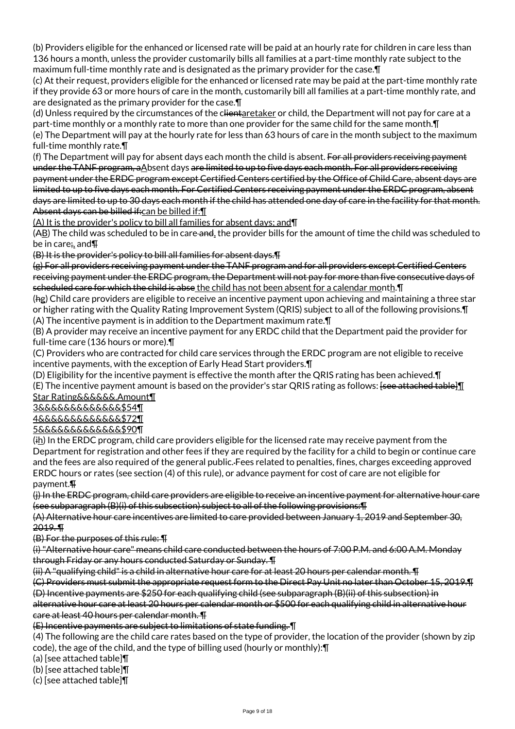(b) Providers eligible for the enhanced or licensed rate will be paid at an hourly rate for children in care less than 136 hours a month, unless the provider customarily bills all families at a part-time monthly rate subject to the maximum full-time monthly rate and is designated as the primary provider for the case.¶

(c) At their request, providers eligible for the enhanced or licensed rate may be paid at the part-time monthly rate if they provide 63 or more hours of care in the month, customarily bill all families at a part-time monthly rate, and are designated as the primary provider for the case.¶

(d) Unless required by the circumstances of the clientaretaker or child, the Department will not pay for care at a part-time monthly or a monthly rate to more than one provider for the same child for the same month.¶ (e) The Department will pay at the hourly rate for less than 63 hours of care in the month subject to the maximum

full-time monthly rate.¶

(f) The Department will pay for absent days each month the child is absent. For all providers receiving payment under the TANF program, aAbsent days are limited to up to five days each month. For all providers receiving payment under the ERDC program except Certified Centers certified by the Office of Child Care, absent days are limited to up to five days each month. For Certified Centers receiving payment under the ERDC program, absent days are limited to up to 30 days each month if the child has attended one day of care in the facility for that month. Absent days can be billed if: can be billed if: [1]

(A) It is the provider's policy to bill all families for absent days; and¶

(AB) The child was scheduled to be in care and, the provider bills for the amount of time the child was scheduled to be in care;, and¶

(B) It is the provider's policy to bill all families for absent days.¶

(g) For all providers receiving payment under the TANF program and for all providers except Certified Centers receiving payment under the ERDC program, the Department will not pay for more than five consecutive days of scheduled care for which the child is abse the child has not been absent for a calendar month. I

(hg) Child care providers are eligible to receive an incentive payment upon achieving and maintaining a three star or higher rating with the Quality Rating Improvement System (QRIS) subject to all of the following provisions.¶ (A) The incentive payment is in addition to the Department maximum rate.¶

(B) A provider may receive an incentive payment for any ERDC child that the Department paid the provider for full-time care (136 hours or more).¶

(C) Providers who are contracted for child care services through the ERDC program are not eligible to receive incentive payments, with the exception of Early Head Start providers.¶

(D) Eligibility for the incentive payment is effective the month after the QRIS rating has been achieved.¶ (E) The incentive payment amount is based on the provider's star QRIS rating as follows:  $[see$  attached table  $\P$ Star Rating&&&&&&.Amount¶

3&&&&&&&&&&&&&\$54¶

4&&&&&&&&&&&&&\$72¶

5&&&&&&&&&&&&&\$90¶

(ih) In the ERDC program, child care providers eligible for the licensed rate may receive payment from the Department for registration and other fees if they are required by the facility for a child to begin or continue care and the fees are also required of the general public. Fees related to penalties, fines, charges exceeding approved ERDC hours or rates (see section (4) of this rule), or advance payment for cost of care are not eligible for payment.¶

(j) In the ERDC program, child care providers are eligible to receive an incentive payment for alternative hour care (see subparagraph (B)(i) of this subsection) subject to all of the following provisions:¶

(A) Alternative hour care incentives are limited to care provided between January 1, 2019 and September 30, 2019. ¶

(B) For the purposes of this rule: ¶

(i) "Alternative hour care" means child care conducted between the hours of 7:00 P.M. and 6:00 A.M. Monday through Friday or any hours conducted Saturday or Sunday. ¶

(ii) A "qualifying child" is a child in alternative hour care for at least 20 hours per calendar month. ¶

(C) Providers must submit the appropriate request form to the Direct Pay Unit no later than October 15, 2019.¶ (D) Incentive payments are \$250 for each qualifying child (see subparagraph (B)(ii) of this subsection) in

alternative hour care at least 20 hours per calendar month or \$500 for each qualifying child in alternative hour care at least 40 hours per calendar month. ¶

(E) Incentive payments are subject to limitations of state funding. ¶

(4) The following are the child care rates based on the type of provider, the location of the provider (shown by zip code), the age of the child, and the type of billing used (hourly or monthly):¶

(a) [see attached table]¶

(b) [see attached table]¶

(c) [see attached table]¶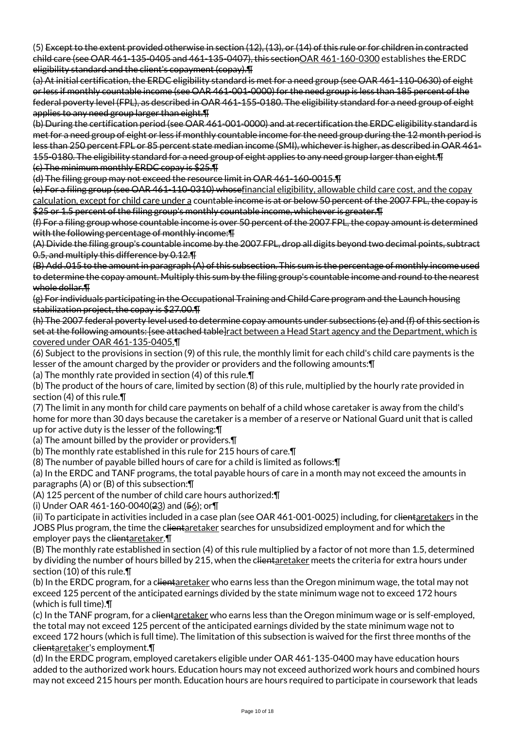(5) Except to the extent provided otherwise in section (12), (13), or (14) of this rule or for children in contracted child care (see OAR 461-135-0405 and 461-135-0407), this sectionOAR 461-160-0300 establishes the ERDC eligibility standard and the client's copayment (copay).¶

(a) At initial certification, the ERDC eligibility standard is met for a need group (see OAR 461-110-0630) of eight or less if monthly countable income (see OAR 461-001-0000) for the need group is less than 185 percent of the federal poverty level (FPL), as described in OAR 461-155-0180. The eligibility standard for a need group of eight applies to any need group larger than eight.¶

(b) During the certification period (see OAR 461-001-0000) and at recertification the ERDC eligibility standard is met for a need group of eight or less if monthly countable income for the need group during the 12 month period is less than 250 percent FPL or 85 percent state median income (SMI), whichever is higher, as described in OAR 461- 155-0180. The eligibility standard for a need group of eight applies to any need group larger than eight.¶ (c) The minimum monthly ERDC copay is \$25.¶

(d) The filing group may not exceed the resource limit in OAR 461-160-0015.¶

(e) For a filing group (see OAR 461-110-0310) whosefinancial eligibility, allowable child care cost, and the copay calculation, except for child care under a countable income is at or below 50 percent of the 2007 FPL, the copay is \$25 or 1.5 percent of the filing group's monthly countable income, whichever is greater. T

(f) For a filing group whose countable income is over 50 percent of the 2007 FPL, the copay amount is determined with the following percentage of monthly income: T

(A) Divide the filing group's countable income by the 2007 FPL, drop all digits beyond two decimal points, subtract 0.5, and multiply this difference by 0.12.¶

(B) Add .015 to the amount in paragraph (A) of this subsection. This sum is the percentage of monthly income used to determine the copay amount. Multiply this sum by the filing group's countable income and round to the nearest whole dollar.¶

(g) For individuals participating in the Occupational Training and Child Care program and the Launch housing stabilization project, the copay is \$27.00.¶

(h) The 2007 federal poverty level used to determine copay amounts under subsections (e) and (f) of this section is set at the following amounts: [see attached table]ract between a Head Start agency and the Department, which is covered under OAR 461-135-0405.¶

(6) Subject to the provisions in section (9) of this rule, the monthly limit for each child's child care payments is the lesser of the amount charged by the provider or providers and the following amounts:¶

(a) The monthly rate provided in section (4) of this rule.¶

(b) The product of the hours of care, limited by section (8) of this rule, multiplied by the hourly rate provided in section (4) of this rule.¶

(7) The limit in any month for child care payments on behalf of a child whose caretaker is away from the child's home for more than 30 days because the caretaker is a member of a reserve or National Guard unit that is called up for active duty is the lesser of the following:¶

(a) The amount billed by the provider or providers.¶

(b) The monthly rate established in this rule for 215 hours of care.¶

(8) The number of payable billed hours of care for a child is limited as follows:¶

(a) In the ERDC and TANF programs, the total payable hours of care in a month may not exceed the amounts in paragraphs (A) or (B) of this subsection:¶

(A) 125 percent of the number of child care hours authorized:¶

(i) Under OAR 461-160-0040( $23$ ) and ( $56$ ); or  $\P$ 

(ii) To participate in activities included in a case plan (see OAR 461-001-0025) including, for clientaretakers in the JOBS Plus program, the time the clientaretaker searches for unsubsidized employment and for which the employer pays the clientaretaker. $\P$ 

(B) The monthly rate established in section (4) of this rule multiplied by a factor of not more than 1.5, determined by dividing the number of hours billed by 215, when the clientaretaker meets the criteria for extra hours under section (10) of this rule.¶

(b) In the ERDC program, for a c<del>lientaretaker</del> who earns less than the Oregon minimum wage, the total may not exceed 125 percent of the anticipated earnings divided by the state minimum wage not to exceed 172 hours (which is full time).¶

(c) In the TANF program, for a clientaretaker who earns less than the Oregon minimum wage or is self-employed, the total may not exceed 125 percent of the anticipated earnings divided by the state minimum wage not to exceed 172 hours (which is full time). The limitation of this subsection is waived for the first three months of the clientaretaker's employment.¶

(d) In the ERDC program, employed caretakers eligible under OAR 461-135-0400 may have education hours added to the authorized work hours. Education hours may not exceed authorized work hours and combined hours may not exceed 215 hours per month. Education hours are hours required to participate in coursework that leads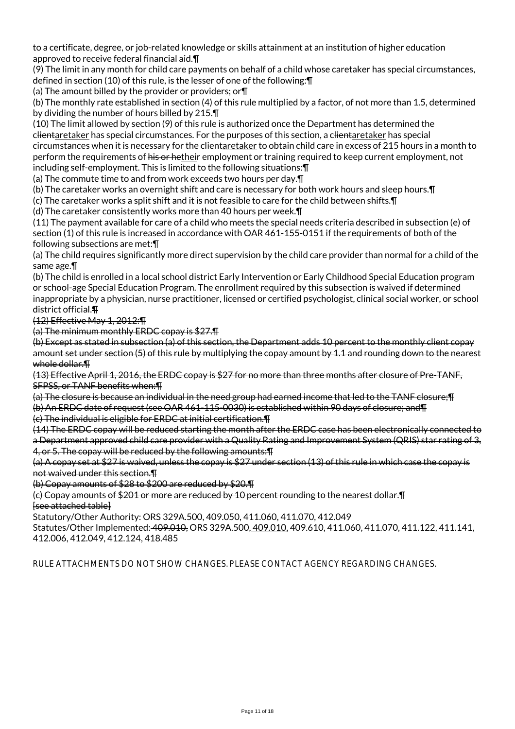to a certificate, degree, or job-related knowledge or skills attainment at an institution of higher education approved to receive federal financial aid.¶

(9) The limit in any month for child care payments on behalf of a child whose caretaker has special circumstances, defined in section (10) of this rule, is the lesser of one of the following:¶

(a) The amount billed by the provider or providers; or¶

(b) The monthly rate established in section (4) of this rule multiplied by a factor, of not more than 1.5, determined by dividing the number of hours billed by 215.¶

(10) The limit allowed by section (9) of this rule is authorized once the Department has determined the clientaretaker has special circumstances. For the purposes of this section, a clientaretaker has special circumstances when it is necessary for the clientaretaker to obtain child care in excess of 215 hours in a month to perform the requirements of his or hetheir employment or training required to keep current employment, not including self-employment. This is limited to the following situations:¶

(a) The commute time to and from work exceeds two hours per day.¶

(b) The caretaker works an overnight shift and care is necessary for both work hours and sleep hours.¶

(c) The caretaker works a split shift and it is not feasible to care for the child between shifts.¶

(d) The caretaker consistently works more than 40 hours per week.¶

(11) The payment available for care of a child who meets the special needs criteria described in subsection (e) of section (1) of this rule is increased in accordance with OAR 461-155-0151 if the requirements of both of the following subsections are met:¶

(a) The child requires significantly more direct supervision by the child care provider than normal for a child of the same age.¶

(b) The child is enrolled in a local school district Early Intervention or Early Childhood Special Education program or school-age Special Education Program. The enrollment required by this subsection is waived if determined inappropriate by a physician, nurse practitioner, licensed or certified psychologist, clinical social worker, or school district official.¶

(12) Effective May 1, 2012:¶

(a) The minimum monthly ERDC copay is \$27.¶

(b) Except as stated in subsection (a) of this section, the Department adds 10 percent to the monthly client copay amount set under section (5) of this rule by multiplying the copay amount by 1.1 and rounding down to the nearest whole dollar.¶

(13) Effective April 1, 2016, the ERDC copay is \$27 for no more than three months after closure of Pre-TANF, SFPSS, or TANF benefits when:¶

(a) The closure is because an individual in the need group had earned income that led to the TANF closure;¶ (b) An ERDC date of request (see OAR 461-115-0030) is established within 90 days of closure; and¶

(c) The individual is eligible for ERDC at initial certification.¶

(14) The ERDC copay will be reduced starting the month after the ERDC case has been electronically connected to a Department approved child care provider with a Quality Rating and Improvement System (QRIS) star rating of 3, 4, or 5. The copay will be reduced by the following amounts:¶

(a) A copay set at \$27 is waived, unless the copay is \$27 under section (13) of this rule in which case the copay is not waived under this section.¶

(b) Copay amounts of \$28 to \$200 are reduced by \$20.¶

(c) Copay amounts of \$201 or more are reduced by 10 percent rounding to the nearest dollar.¶ [see attached table]

Statutory/Other Authority: ORS 329A.500, 409.050, 411.060, 411.070, 412.049

Statutes/Other Implemented: 409.010, ORS 329A.500, 409.010, 409.610, 411.060, 411.070, 411.122, 411.141, 412.006, 412.049, 412.124, 418.485

RULE ATTACHMENTS DO NOT SHOW CHANGES. PLEASE CONTACT AGENCY REGARDING CHANGES.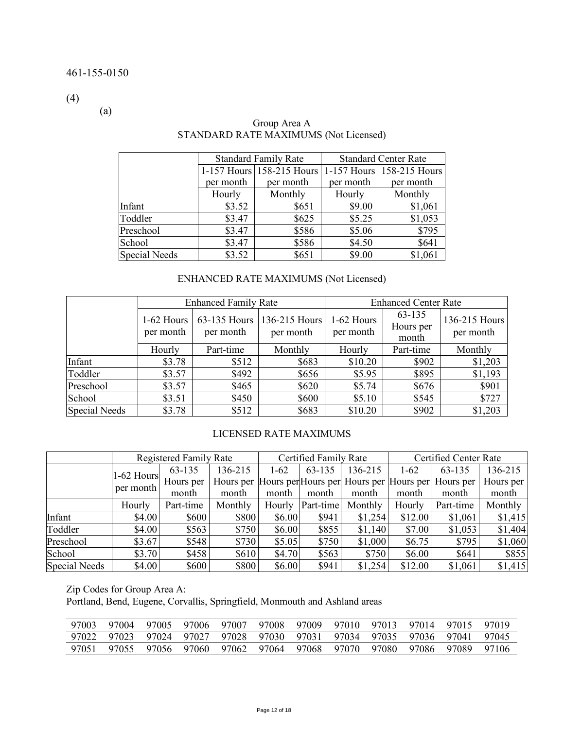(4)

(a)

|                      |           | <b>Standard Family Rate</b> |           | <b>Standard Center Rate</b> |
|----------------------|-----------|-----------------------------|-----------|-----------------------------|
|                      |           | 1-157 Hours 158-215 Hours   |           | 1-157 Hours 158-215 Hours   |
|                      | per month | per month                   | per month | per month                   |
|                      | Hourly    | Monthly                     | Hourly    | Monthly                     |
| Infant               | \$3.52    | \$651                       | \$9.00    | \$1,061                     |
| Toddler              | \$3.47    | \$625                       | \$5.25    | \$1,053                     |
| Preschool            | \$3.47    | \$586                       | \$5.06    | \$795                       |
| School               | \$3.47    | \$586                       | \$4.50    | \$641                       |
| <b>Special Needs</b> | \$3.52    | \$651                       | \$9.00    | \$1,061                     |

# Group Area A STANDARD RATE MAXIMUMS (Not Licensed)

# ENHANCED RATE MAXIMUMS (Not Licensed)

|               |                         | <b>Enhanced Family Rate</b> |                                                       |         | <b>Enhanced Center Rate</b>  |                            |
|---------------|-------------------------|-----------------------------|-------------------------------------------------------|---------|------------------------------|----------------------------|
|               | 1-62 Hours<br>per month | 63-135 Hours<br>per month   | 1-62 Hours<br>136-215 Hours<br>per month<br>per month |         | 63-135<br>Hours per<br>month | 136-215 Hours<br>per month |
|               | Hourly                  | Part-time                   | Monthly                                               | Hourly  | Part-time                    | Monthly                    |
| Infant        | \$3.78                  | \$512                       | \$683                                                 | \$10.20 | \$902                        | \$1,203                    |
| Toddler       | \$3.57                  | \$492                       | \$656                                                 | \$5.95  | \$895                        | \$1,193                    |
| Preschool     | \$3.57                  | \$465                       | \$620                                                 | \$5.74  | \$676                        | \$901                      |
| School        | \$3.51                  | \$450                       | \$600                                                 | \$5.10  | \$545                        | \$727                      |
| Special Needs | \$3.78                  | \$512                       | \$683                                                 | \$10.20 | \$902                        | \$1,203                    |

#### LICENSED RATE MAXIMUMS

|               |                           | <b>Registered Family Rate</b> |                                                             |          | Certified Family Rate |         | Certified Center Rate |           |           |
|---------------|---------------------------|-------------------------------|-------------------------------------------------------------|----------|-----------------------|---------|-----------------------|-----------|-----------|
|               |                           | 63-135                        | 136-215                                                     | $1 - 62$ | 63-135                | 136-215 | $1-62$                | 63-135    | 136-215   |
|               | $1-62$ Hours<br>per month | Hours per                     | Hours per Hours per Hours per Hours per Hours per Hours per |          |                       |         |                       |           | Hours per |
|               |                           | month                         | month                                                       | month    | month                 | month   | month                 | month     | month     |
|               | Hourly                    | Part-time                     | Monthly                                                     | Hourly   | Part-time             | Monthly | Hourly                | Part-time | Monthly   |
| Infant        | \$4.00                    | \$600                         | \$800                                                       | \$6.00   | \$941                 | \$1,254 | \$12.00               | \$1,061   | \$1,415   |
| Toddler       | \$4.00                    | \$563                         | \$750                                                       | \$6.00   | \$855                 | \$1,140 | \$7.00                | \$1,053   | \$1,404   |
| Preschool     | \$3.67                    | \$548                         | \$730                                                       | \$5.05   | \$750                 | \$1,000 | \$6.75                | \$795     | \$1,060   |
| School        | \$3.70                    | \$458                         | \$610                                                       | \$4.70   | \$563                 | \$750   | \$6.00                | \$641     | \$855     |
| Special Needs | \$4.00                    | \$600                         | \$800                                                       | \$6.00   | \$941                 | \$1,254 | \$12.00               | \$1,061   | \$1,415   |

Zip Codes for Group Area A:

Portland, Bend, Eugene, Corvallis, Springfield, Monmouth and Ashland areas

| 97003 | 97004 | 97005       | 97006 97007 97008 | 97009                                           |                   | 97010 97013 97014 97015 |         | 97019  |
|-------|-------|-------------|-------------------|-------------------------------------------------|-------------------|-------------------------|---------|--------|
| 97022 |       | 97023 97024 |                   | 97027 97028 97030 97031 97034 97035 97036 97041 |                   |                         |         | 97045  |
| 97051 | 97055 | 97056       | 97060 97062 97064 | . 97068                                         | 97070 97080 97086 |                         | - 97089 | -97106 |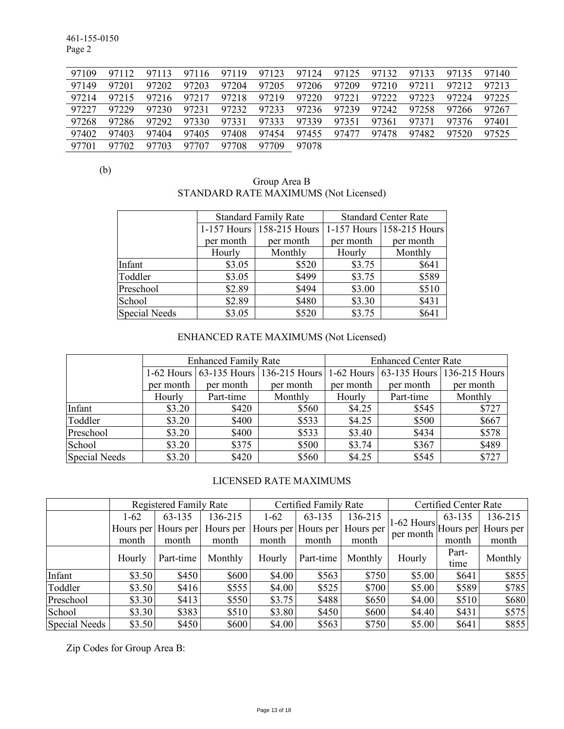461-155-0150 Page 2

| 97109 | 97112 | 97113 |       |       |             | 97116 97119 97123 97124 | 97125       |             |             | 97132 97133 97135 97140 |       |
|-------|-------|-------|-------|-------|-------------|-------------------------|-------------|-------------|-------------|-------------------------|-------|
| 97149 | 97201 | 97202 | 97203 | 97204 | 97205       | 97206                   | 97209       | 97210       | 97211       | 97212                   | 97213 |
| 97214 | 97215 | 97216 | 97217 |       | 97218 97219 | 97220                   | 97221       | 97222 97223 |             | 97224                   | 97225 |
| 97227 | 97229 | 97230 |       |       |             | 97231 97232 97233 97236 | 97239       |             | 97242 97258 | 97266                   | 97267 |
| 97268 | 97286 | 97292 | 97330 | 97331 | 97333       | 97339                   | 97351       | 97361       | 97371       | 97376                   | 97401 |
| 97402 | 97403 | 97404 | 97405 | 97408 | 97454       |                         | 97455 97477 | 97478       | 97482       | 97520                   | 97525 |
| 97701 | 97702 | 97703 | 97707 | 97708 | 97709       | 97078                   |             |             |             |                         |       |

(b)

# Group Area B STANDARD RATE MAXIMUMS (Not Licensed)

|               |           | <b>Standard Family Rate</b> |           | <b>Standard Center Rate</b>   |
|---------------|-----------|-----------------------------|-----------|-------------------------------|
|               |           | 1-157 Hours 158-215 Hours   |           | $1-157$ Hours   158-215 Hours |
|               | per month | per month                   | per month | per month                     |
|               | Hourly    | Monthly                     | Hourly    | Monthly                       |
| Infant        | \$3.05    | \$520                       | \$3.75    | \$641                         |
| Toddler       | \$3.05    | \$499                       | \$3.75    | \$589                         |
| Preschool     | \$2.89    | \$494                       | \$3.00    | \$510                         |
| School        | \$2.89    | \$480                       | \$3.30    | \$431                         |
| Special Needs | \$3.05    | \$520                       | \$3.75    | \$641                         |

# ENHANCED RATE MAXIMUMS (Not Licensed)

|               |           | <b>Enhanced Family Rate</b> |                                                                             |           | <b>Enhanced Center Rate</b> |           |
|---------------|-----------|-----------------------------|-----------------------------------------------------------------------------|-----------|-----------------------------|-----------|
|               |           |                             | 1-62 Hours 63-135 Hours 136-215 Hours 1-62 Hours 63-135 Hours 136-215 Hours |           |                             |           |
|               | per month | per month                   | per month                                                                   | per month | per month                   | per month |
|               | Hourly    | Part-time                   | Monthly                                                                     | Hourly    | Part-time                   | Monthly   |
| Infant        | \$3.20    | \$420                       | \$560                                                                       | \$4.25    | \$545                       | \$727     |
| Toddler       | \$3.20    | \$400                       | \$533                                                                       | \$4.25    | \$500                       | \$667     |
| Preschool     | \$3.20    | \$400                       | \$533                                                                       | \$3.40    | \$434                       | \$578     |
| School        | \$3.20    | \$375                       | \$500                                                                       | \$3.74    | \$367                       | \$489     |
| Special Needs | \$3.20    | \$420                       | \$560                                                                       | \$4.25    | \$545                       | \$727     |

# LICENSED RATE MAXIMUMS

|               |        | <b>Registered Family Rate</b> |           |        | Certified Family Rate |           |                                      | Certified Center Rate |           |
|---------------|--------|-------------------------------|-----------|--------|-----------------------|-----------|--------------------------------------|-----------------------|-----------|
|               | $1-62$ | 63-135                        | 136-215   | $1-62$ | 63-135                | 136-215   |                                      | 63-135                | 136-215   |
|               |        | Hours per Hours per           | Hours per |        | Hours per Hours per   | Hours per | <sup>11-62</sup> Hours   Hours perl' |                       | Hours per |
|               | month  | month                         | month     | month  | month                 | month     | per month                            | month                 | month     |
|               | Hourly | Part-time                     | Monthly   | Hourly | Part-time             | Monthly   | Hourly                               | Part-<br>time         | Monthly   |
| Infant        | \$3.50 | \$450                         | \$600     | \$4.00 | \$563                 | \$750     | \$5.00                               | \$641                 | \$855     |
| Toddler       | \$3.50 | \$416                         | \$555     | \$4.00 | \$525                 | \$700     | \$5.00                               | \$589                 | \$785     |
| Preschool     | \$3.30 | \$413                         | \$550     | \$3.75 | \$488                 | \$650     | \$4.00                               | \$510                 | \$680     |
| School        | \$3.30 | \$383                         | \$510     | \$3.80 | \$450                 | \$600     | \$4.40                               | \$431                 | \$575     |
| Special Needs | \$3.50 | \$450                         | \$600     | \$4.00 | \$563                 | \$750     | \$5.00                               | \$641                 | \$855     |

Zip Codes for Group Area B: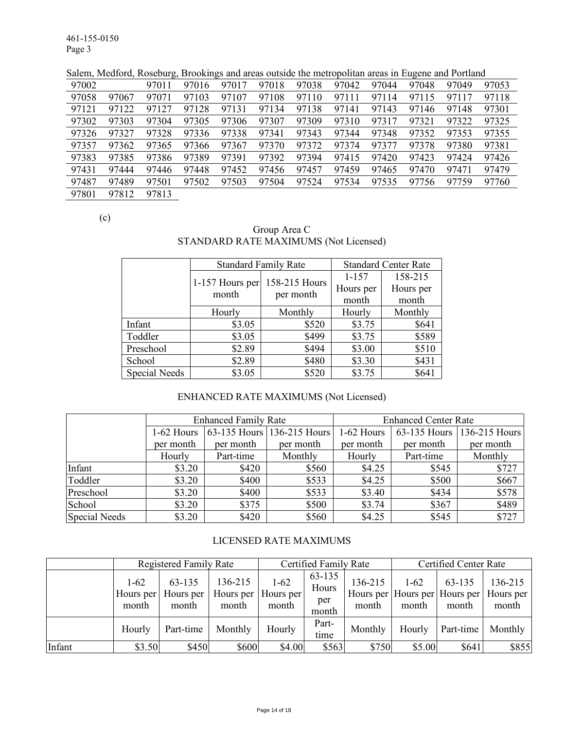461-155-0150 Page 3

Salem, Medford, Roseburg, Brookings and areas outside the metropolitan areas in Eugene and Portland

| 97002 |       | 97011 | 97016 | 97017 | 97018 | 97038 | 97042 | 97044 | 97048 | 97049 | 97053 |
|-------|-------|-------|-------|-------|-------|-------|-------|-------|-------|-------|-------|
| 97058 | 97067 | 97071 | 97103 | 97107 | 97108 | 97110 | 97111 | 97114 | 97115 | 97117 | 97118 |
| 97121 | 97122 | 97127 | 97128 | 97131 | 97134 | 97138 | 97141 | 97143 | 97146 | 97148 | 97301 |
| 97302 | 97303 | 97304 | 97305 | 97306 | 97307 | 97309 | 97310 | 97317 | 97321 | 97322 | 97325 |
| 97326 | 97327 | 97328 | 97336 | 97338 | 97341 | 97343 | 97344 | 97348 | 97352 | 97353 | 97355 |
| 97357 | 97362 | 97365 | 97366 | 97367 | 97370 | 97372 | 97374 | 97377 | 97378 | 97380 | 97381 |
| 97383 | 97385 | 97386 | 97389 | 97391 | 97392 | 97394 | 97415 | 97420 | 97423 | 97424 | 97426 |
| 97431 | 97444 | 97446 | 97448 | 97452 | 97456 | 97457 | 97459 | 97465 | 97470 | 97471 | 97479 |
| 97487 | 97489 | 97501 | 97502 | 97503 | 97504 | 97524 | 97534 | 97535 | 97756 | 97759 | 97760 |
| 97801 | 97812 | 97813 |       |       |       |       |       |       |       |       |       |
|       |       |       |       |       |       |       |       |       |       |       |       |

(c)

## Group Area C STANDARD RATE MAXIMUMS (Not Licensed)

|               | <b>Standard Family Rate</b> |               | <b>Standard Center Rate</b> |           |  |
|---------------|-----------------------------|---------------|-----------------------------|-----------|--|
|               |                             | 158-215 Hours | $1 - 157$                   | 158-215   |  |
|               | 1-157 Hours per<br>month    | per month     | Hours per                   | Hours per |  |
|               |                             |               | month                       | month     |  |
|               | Hourly                      | Monthly       | Hourly                      | Monthly   |  |
| Infant        | \$3.05                      | \$520         | \$3.75                      | \$641     |  |
| Toddler       | \$3.05                      | \$499         | \$3.75                      | \$589     |  |
| Preschool     | \$2.89                      | \$494         | \$3.00                      | \$510     |  |
| School        | \$2.89                      | \$480         | \$3.30                      | \$431     |  |
| Special Needs | \$3.05                      | \$520         | \$3.75                      | \$641     |  |

# ENHANCED RATE MAXIMUMS (Not Licensed)

|               |              | <b>Enhanced Family Rate</b> |                            |            | <b>Enhanced Center Rate</b> |                            |
|---------------|--------------|-----------------------------|----------------------------|------------|-----------------------------|----------------------------|
|               | $1-62$ Hours |                             | 63-135 Hours 136-215 Hours | 1-62 Hours |                             | 63-135 Hours 136-215 Hours |
|               | per month    | per month                   | per month                  | per month  | per month                   | per month                  |
|               | Hourly       | Part-time                   | Monthly                    | Hourly     | Part-time                   | Monthly                    |
| Infant        | \$3.20       | \$420                       | \$560                      | \$4.25     | \$545                       | \$727                      |
| Toddler       | \$3.20       | \$400                       | \$533                      | \$4.25     | \$500                       | \$667                      |
| Preschool     | \$3.20       | \$400                       | \$533                      | \$3.40     | \$434                       | \$578                      |
| School        | \$3.20       | \$375                       | \$500                      | \$3.74     | \$367                       | \$489                      |
| Special Needs | \$3.20       | \$420                       | \$560                      | \$4.25     | \$545                       | \$727                      |

#### LICENSED RATE MAXIMUMS

|        |                            | <b>Registered Family Rate</b> |                               |                                | Certified Family Rate           |                  | Certified Center Rate |                 |                                                             |
|--------|----------------------------|-------------------------------|-------------------------------|--------------------------------|---------------------------------|------------------|-----------------------|-----------------|-------------------------------------------------------------|
|        | 1-62<br>Hours per<br>month | 63-135<br>Hours per<br>month  | 136-215<br>Hours per<br>month | $1 - 62$<br>Hours per<br>month | 63-135<br>Hours<br>per<br>month | 136-215<br>month | $1-62$<br>month       | 63-135<br>month | 136-215<br>Hours per Hours per Hours per Hours per<br>month |
|        | Hourly                     | Part-time                     | Monthly                       | Hourly                         | Part-<br>time                   | Monthly          | Hourly                | Part-time       | Monthly                                                     |
| Infant | \$3.50                     | \$450                         | \$600                         | \$4.00                         | \$563                           | \$750            | \$5.00                | \$641           | \$855                                                       |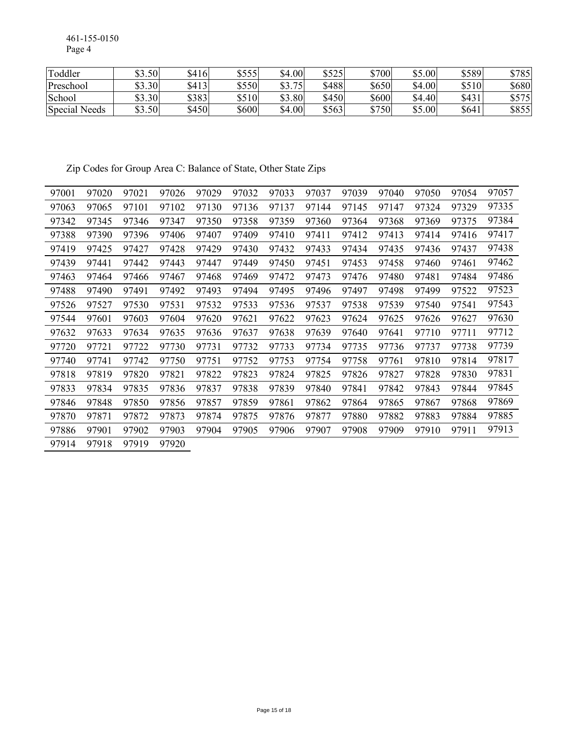461-155-0150 Page 4

| Toddler       | \$3.50 | \$416 | \$555 | \$4.00   | \$525 | \$700 | \$5.00 | \$589 | \$785 |
|---------------|--------|-------|-------|----------|-------|-------|--------|-------|-------|
| Preschool     | \$3.30 | \$413 | \$550 | 75<br>ሰኅ | \$488 | \$650 | \$4.00 | \$510 | \$680 |
| School        | \$3.30 | \$383 | \$510 | \$3.80   | \$450 | \$600 | \$4.40 | \$431 | \$575 |
| Special Needs | \$3.50 | \$450 | \$600 | \$4.00   | \$563 | \$750 | \$5.00 | \$641 | \$855 |

Zip Codes for Group Area C: Balance of State, Other State Zips

| 97001 | 97020 | 97021 | 97026 | 97029 | 97032 | 97033 | 97037 | 97039 | 97040 | 97050 | 97054 | 97057 |
|-------|-------|-------|-------|-------|-------|-------|-------|-------|-------|-------|-------|-------|
| 97063 | 97065 | 97101 | 97102 | 97130 | 97136 | 97137 | 97144 | 97145 | 97147 | 97324 | 97329 | 97335 |
| 97342 | 97345 | 97346 | 97347 | 97350 | 97358 | 97359 | 97360 | 97364 | 97368 | 97369 | 97375 | 97384 |
| 97388 | 97390 | 97396 | 97406 | 97407 | 97409 | 97410 | 97411 | 97412 | 97413 | 97414 | 97416 | 97417 |
| 97419 | 97425 | 97427 | 97428 | 97429 | 97430 | 97432 | 97433 | 97434 | 97435 | 97436 | 97437 | 97438 |
| 97439 | 97441 | 97442 | 97443 | 97447 | 97449 | 97450 | 97451 | 97453 | 97458 | 97460 | 97461 | 97462 |
| 97463 | 97464 | 97466 | 97467 | 97468 | 97469 | 97472 | 97473 | 97476 | 97480 | 97481 | 97484 | 97486 |
| 97488 | 97490 | 97491 | 97492 | 97493 | 97494 | 97495 | 97496 | 97497 | 97498 | 97499 | 97522 | 97523 |
| 97526 | 97527 | 97530 | 97531 | 97532 | 97533 | 97536 | 97537 | 97538 | 97539 | 97540 | 97541 | 97543 |
| 97544 | 97601 | 97603 | 97604 | 97620 | 97621 | 97622 | 97623 | 97624 | 97625 | 97626 | 97627 | 97630 |
| 97632 | 97633 | 97634 | 97635 | 97636 | 97637 | 97638 | 97639 | 97640 | 97641 | 97710 | 97711 | 97712 |
| 97720 | 97721 | 97722 | 97730 | 97731 | 97732 | 97733 | 97734 | 97735 | 97736 | 97737 | 97738 | 97739 |
| 97740 | 97741 | 97742 | 97750 | 97751 | 97752 | 97753 | 97754 | 97758 | 97761 | 97810 | 97814 | 97817 |
| 97818 | 97819 | 97820 | 97821 | 97822 | 97823 | 97824 | 97825 | 97826 | 97827 | 97828 | 97830 | 97831 |
| 97833 | 97834 | 97835 | 97836 | 97837 | 97838 | 97839 | 97840 | 97841 | 97842 | 97843 | 97844 | 97845 |
| 97846 | 97848 | 97850 | 97856 | 97857 | 97859 | 97861 | 97862 | 97864 | 97865 | 97867 | 97868 | 97869 |
| 97870 | 97871 | 97872 | 97873 | 97874 | 97875 | 97876 | 97877 | 97880 | 97882 | 97883 | 97884 | 97885 |
| 97886 | 97901 | 97902 | 97903 | 97904 | 97905 | 97906 | 97907 | 97908 | 97909 | 97910 | 97911 | 97913 |
| 97914 | 97918 | 97919 | 97920 |       |       |       |       |       |       |       |       |       |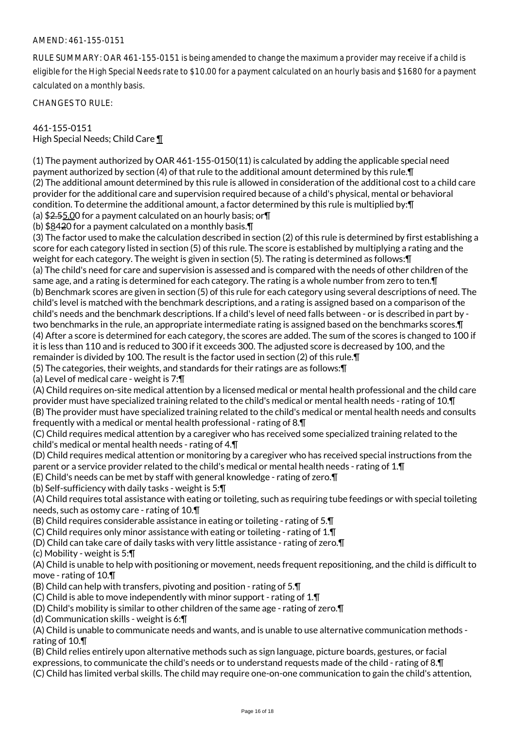### AMEND: 461-155-0151

RULE SUMMARY: OAR 461-155-0151 is being amended to change the maximum a provider may receive if a child is eligible for the High Special Needs rate to \$10.00 for a payment calculated on an hourly basis and \$1680 for a payment calculated on a monthly basis.

CHANGES TO RULE:

## 461-155-0151 High Special Needs; Child Care ¶

(1) The payment authorized by OAR 461-155-0150(11) is calculated by adding the applicable special need payment authorized by section (4) of that rule to the additional amount determined by this rule.¶ (2) The additional amount determined by this rule is allowed in consideration of the additional cost to a child care provider for the additional care and supervision required because of a child's physical, mental or behavioral condition. To determine the additional amount, a factor determined by this rule is multiplied by:¶

(a) \$2.55.00 for a payment calculated on an hourly basis; or¶

(b) \$8420 for a payment calculated on a monthly basis.¶

(3) The factor used to make the calculation described in section (2) of this rule is determined by first establishing a score for each category listed in section (5) of this rule. The score is established by multiplying a rating and the weight for each category. The weight is given in section (5). The rating is determined as follows:¶ (a) The child's need for care and supervision is assessed and is compared with the needs of other children of the same age, and a rating is determined for each category. The rating is a whole number from zero to ten.¶ (b) Benchmark scores are given in section (5) of this rule for each category using several descriptions of need. The child's level is matched with the benchmark descriptions, and a rating is assigned based on a comparison of the child's needs and the benchmark descriptions. If a child's level of need falls between - or is described in part by two benchmarks in the rule, an appropriate intermediate rating is assigned based on the benchmarks scores.¶ (4) After a score is determined for each category, the scores are added. The sum of the scores is changed to 100 if it is less than 110 and is reduced to 300 if it exceeds 300. The adjusted score is decreased by 100, and the remainder is divided by 100. The result is the factor used in section (2) of this rule.¶

(5) The categories, their weights, and standards for their ratings are as follows:¶

(a) Level of medical care - weight is 7:¶

(A) Child requires on-site medical attention by a licensed medical or mental health professional and the child care provider must have specialized training related to the child's medical or mental health needs - rating of 10.¶ (B) The provider must have specialized training related to the child's medical or mental health needs and consults frequently with a medical or mental health professional - rating of 8.¶

(C) Child requires medical attention by a caregiver who has received some specialized training related to the child's medical or mental health needs - rating of 4.¶

(D) Child requires medical attention or monitoring by a caregiver who has received special instructions from the parent or a service provider related to the child's medical or mental health needs - rating of 1.¶

(E) Child's needs can be met by staff with general knowledge - rating of zero.¶

(b) Self-sufficiency with daily tasks - weight is 5:¶

(A) Child requires total assistance with eating or toileting, such as requiring tube feedings or with special toileting needs, such as ostomy care - rating of 10.¶

(B) Child requires considerable assistance in eating or toileting - rating of 5.¶

(C) Child requires only minor assistance with eating or toileting - rating of  $1.\mathsf{T}$ 

(D) Child can take care of daily tasks with very little assistance - rating of zero.¶

(c) Mobility - weight is 5:¶

(A) Child is unable to help with positioning or movement, needs frequent repositioning, and the child is difficult to move - rating of 10.¶

(B) Child can help with transfers, pivoting and position - rating of 5.¶

(C) Child is able to move independently with minor support - rating of 1.¶

(D) Child's mobility is similar to other children of the same age - rating of zero.¶

(d) Communication skills - weight is 6:¶

(A) Child is unable to communicate needs and wants, and is unable to use alternative communication methods rating of 10.¶

(B) Child relies entirely upon alternative methods such as sign language, picture boards, gestures, or facial expressions, to communicate the child's needs or to understand requests made of the child - rating of 8.¶

(C) Child has limited verbal skills. The child may require one-on-one communication to gain the child's attention,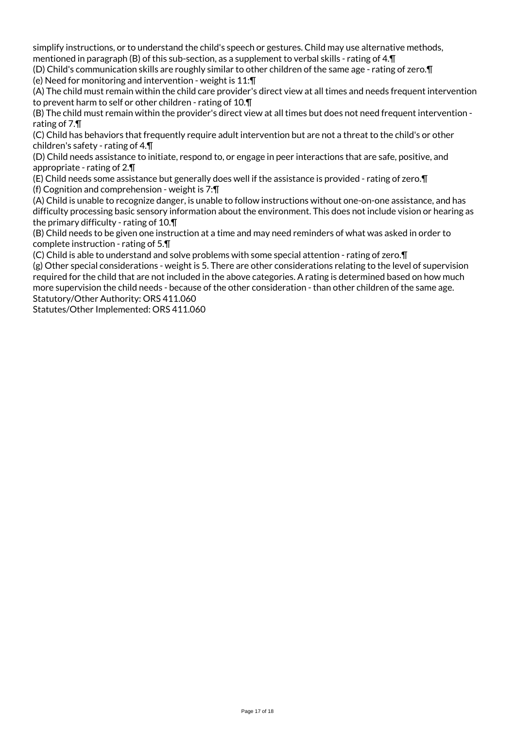simplify instructions, or to understand the child's speech or gestures. Child may use alternative methods, mentioned in paragraph (B) of this sub-section, as a supplement to verbal skills - rating of 4.¶

(D) Child's communication skills are roughly similar to other children of the same age - rating of zero.¶ (e) Need for monitoring and intervention - weight is 11:¶

(A) The child must remain within the child care provider's direct view at all times and needs frequent intervention to prevent harm to self or other children - rating of 10.¶

(B) The child must remain within the provider's direct view at all times but does not need frequent intervention rating of 7.¶

(C) Child has behaviors that frequently require adult intervention but are not a threat to the child's or other children's safety - rating of 4.¶

(D) Child needs assistance to initiate, respond to, or engage in peer interactions that are safe, positive, and appropriate - rating of 2.¶

(E) Child needs some assistance but generally does well if the assistance is provided - rating of zero.¶ (f) Cognition and comprehension - weight is 7:¶

(A) Child is unable to recognize danger, is unable to follow instructions without one-on-one assistance, and has difficulty processing basic sensory information about the environment. This does not include vision or hearing as the primary difficulty - rating of 10.¶

(B) Child needs to be given one instruction at a time and may need reminders of what was asked in order to complete instruction - rating of 5.¶

(C) Child is able to understand and solve problems with some special attention - rating of zero.¶

(g) Other special considerations - weight is 5. There are other considerations relating to the level of supervision required for the child that are not included in the above categories. A rating is determined based on how much more supervision the child needs - because of the other consideration - than other children of the same age. Statutory/Other Authority: ORS 411.060

Statutes/Other Implemented: ORS 411.060